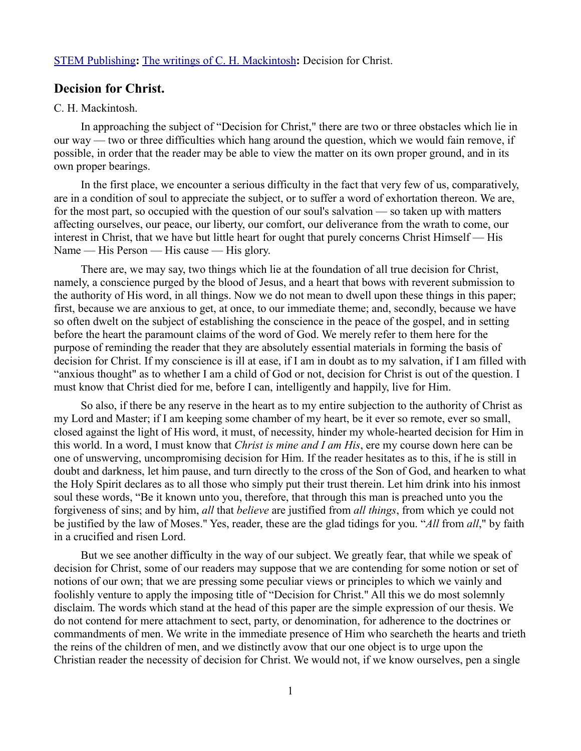# [STEM Publishing](http://www.stempublishing.com/)**:** [The writings of C. H. Mackintosh](http://www.stempublishing.com/authors/mackintosh/index.html)**:** Decision for Christ.

## **Decision for Christ.**

#### C. H. Mackintosh.

In approaching the subject of "Decision for Christ," there are two or three obstacles which lie in our way — two or three difficulties which hang around the question, which we would fain remove, if possible, in order that the reader may be able to view the matter on its own proper ground, and in its own proper bearings.

In the first place, we encounter a serious difficulty in the fact that very few of us, comparatively, are in a condition of soul to appreciate the subject, or to suffer a word of exhortation thereon. We are, for the most part, so occupied with the question of our soul's salvation — so taken up with matters affecting ourselves, our peace, our liberty, our comfort, our deliverance from the wrath to come, our interest in Christ, that we have but little heart for ought that purely concerns Christ Himself — His Name — His Person — His cause — His glory.

There are, we may say, two things which lie at the foundation of all true decision for Christ, namely, a conscience purged by the blood of Jesus, and a heart that bows with reverent submission to the authority of His word, in all things. Now we do not mean to dwell upon these things in this paper; first, because we are anxious to get, at once, to our immediate theme; and, secondly, because we have so often dwelt on the subject of establishing the conscience in the peace of the gospel, and in setting before the heart the paramount claims of the word of God. We merely refer to them here for the purpose of reminding the reader that they are absolutely essential materials in forming the basis of decision for Christ. If my conscience is ill at ease, if I am in doubt as to my salvation, if I am filled with "anxious thought" as to whether I am a child of God or not, decision for Christ is out of the question. I must know that Christ died for me, before I can, intelligently and happily, live for Him.

So also, if there be any reserve in the heart as to my entire subjection to the authority of Christ as my Lord and Master; if I am keeping some chamber of my heart, be it ever so remote, ever so small, closed against the light of His word, it must, of necessity, hinder my whole-hearted decision for Him in this world. In a word, I must know that *Christ is mine and I am His*, ere my course down here can be one of unswerving, uncompromising decision for Him. If the reader hesitates as to this, if he is still in doubt and darkness, let him pause, and turn directly to the cross of the Son of God, and hearken to what the Holy Spirit declares as to all those who simply put their trust therein. Let him drink into his inmost soul these words, "Be it known unto you, therefore, that through this man is preached unto you the forgiveness of sins; and by him, *all* that *believe* are justified from *all things*, from which ye could not be justified by the law of Moses." Yes, reader, these are the glad tidings for you. "*All* from *all*," by faith in a crucified and risen Lord.

But we see another difficulty in the way of our subject. We greatly fear, that while we speak of decision for Christ, some of our readers may suppose that we are contending for some notion or set of notions of our own; that we are pressing some peculiar views or principles to which we vainly and foolishly venture to apply the imposing title of "Decision for Christ." All this we do most solemnly disclaim. The words which stand at the head of this paper are the simple expression of our thesis. We do not contend for mere attachment to sect, party, or denomination, for adherence to the doctrines or commandments of men. We write in the immediate presence of Him who searcheth the hearts and trieth the reins of the children of men, and we distinctly avow that our one object is to urge upon the Christian reader the necessity of decision for Christ. We would not, if we know ourselves, pen a single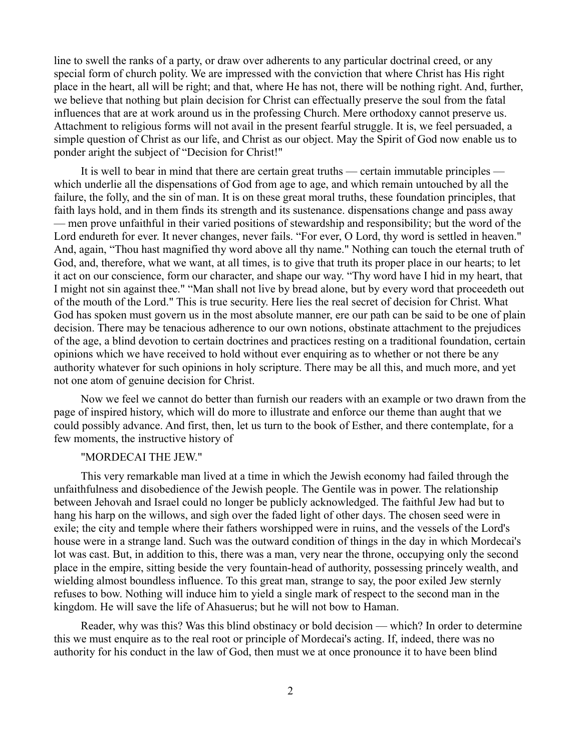line to swell the ranks of a party, or draw over adherents to any particular doctrinal creed, or any special form of church polity. We are impressed with the conviction that where Christ has His right place in the heart, all will be right; and that, where He has not, there will be nothing right. And, further, we believe that nothing but plain decision for Christ can effectually preserve the soul from the fatal influences that are at work around us in the professing Church. Mere orthodoxy cannot preserve us. Attachment to religious forms will not avail in the present fearful struggle. It is, we feel persuaded, a simple question of Christ as our life, and Christ as our object. May the Spirit of God now enable us to ponder aright the subject of "Decision for Christ!"

It is well to bear in mind that there are certain great truths — certain immutable principles which underlie all the dispensations of God from age to age, and which remain untouched by all the failure, the folly, and the sin of man. It is on these great moral truths, these foundation principles, that faith lays hold, and in them finds its strength and its sustenance. dispensations change and pass away — men prove unfaithful in their varied positions of stewardship and responsibility; but the word of the Lord endureth for ever. It never changes, never fails. "For ever, O Lord, thy word is settled in heaven." And, again, "Thou hast magnified thy word above all thy name." Nothing can touch the eternal truth of God, and, therefore, what we want, at all times, is to give that truth its proper place in our hearts; to let it act on our conscience, form our character, and shape our way. "Thy word have I hid in my heart, that I might not sin against thee." "Man shall not live by bread alone, but by every word that proceedeth out of the mouth of the Lord." This is true security. Here lies the real secret of decision for Christ. What God has spoken must govern us in the most absolute manner, ere our path can be said to be one of plain decision. There may be tenacious adherence to our own notions, obstinate attachment to the prejudices of the age, a blind devotion to certain doctrines and practices resting on a traditional foundation, certain opinions which we have received to hold without ever enquiring as to whether or not there be any authority whatever for such opinions in holy scripture. There may be all this, and much more, and yet not one atom of genuine decision for Christ.

Now we feel we cannot do better than furnish our readers with an example or two drawn from the page of inspired history, which will do more to illustrate and enforce our theme than aught that we could possibly advance. And first, then, let us turn to the book of Esther, and there contemplate, for a few moments, the instructive history of

### "MORDECAI THE JEW."

This very remarkable man lived at a time in which the Jewish economy had failed through the unfaithfulness and disobedience of the Jewish people. The Gentile was in power. The relationship between Jehovah and Israel could no longer be publicly acknowledged. The faithful Jew had but to hang his harp on the willows, and sigh over the faded light of other days. The chosen seed were in exile; the city and temple where their fathers worshipped were in ruins, and the vessels of the Lord's house were in a strange land. Such was the outward condition of things in the day in which Mordecai's lot was cast. But, in addition to this, there was a man, very near the throne, occupying only the second place in the empire, sitting beside the very fountain-head of authority, possessing princely wealth, and wielding almost boundless influence. To this great man, strange to say, the poor exiled Jew sternly refuses to bow. Nothing will induce him to yield a single mark of respect to the second man in the kingdom. He will save the life of Ahasuerus; but he will not bow to Haman.

Reader, why was this? Was this blind obstinacy or bold decision — which? In order to determine this we must enquire as to the real root or principle of Mordecai's acting. If, indeed, there was no authority for his conduct in the law of God, then must we at once pronounce it to have been blind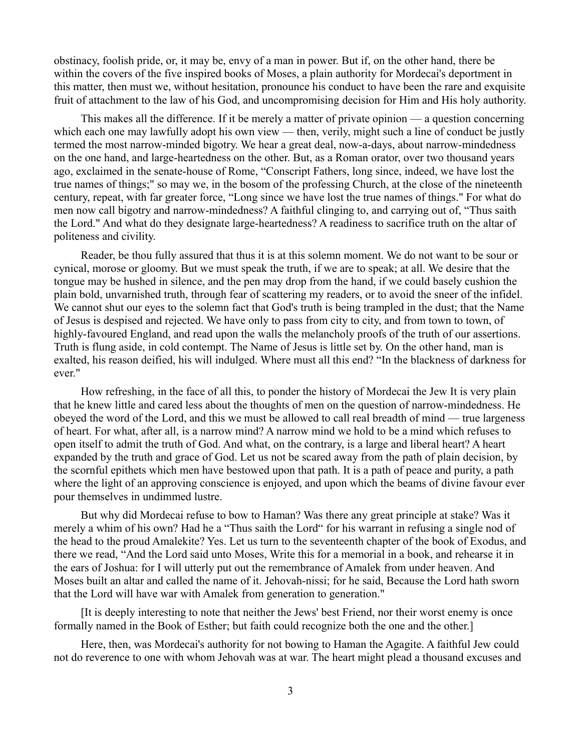obstinacy, foolish pride, or, it may be, envy of a man in power. But if, on the other hand, there be within the covers of the five inspired books of Moses, a plain authority for Mordecai's deportment in this matter, then must we, without hesitation, pronounce his conduct to have been the rare and exquisite fruit of attachment to the law of his God, and uncompromising decision for Him and His holy authority.

This makes all the difference. If it be merely a matter of private opinion — a question concerning which each one may lawfully adopt his own view — then, verily, might such a line of conduct be justly termed the most narrow-minded bigotry. We hear a great deal, now-a-days, about narrow-mindedness on the one hand, and large-heartedness on the other. But, as a Roman orator, over two thousand years ago, exclaimed in the senate-house of Rome, "Conscript Fathers, long since, indeed, we have lost the true names of things;" so may we, in the bosom of the professing Church, at the close of the nineteenth century, repeat, with far greater force, "Long since we have lost the true names of things." For what do men now call bigotry and narrow-mindedness? A faithful clinging to, and carrying out of, "Thus saith the Lord." And what do they designate large-heartedness? A readiness to sacrifice truth on the altar of politeness and civility.

Reader, be thou fully assured that thus it is at this solemn moment. We do not want to be sour or cynical, morose or gloomy. But we must speak the truth, if we are to speak; at all. We desire that the tongue may be hushed in silence, and the pen may drop from the hand, if we could basely cushion the plain bold, unvarnished truth, through fear of scattering my readers, or to avoid the sneer of the infidel. We cannot shut our eyes to the solemn fact that God's truth is being trampled in the dust; that the Name of Jesus is despised and rejected. We have only to pass from city to city, and from town to town, of highly-favoured England, and read upon the walls the melancholy proofs of the truth of our assertions. Truth is flung aside, in cold contempt. The Name of Jesus is little set by. On the other hand, man is exalted, his reason deified, his will indulged. Where must all this end? "In the blackness of darkness for ever."

How refreshing, in the face of all this, to ponder the history of Mordecai the Jew It is very plain that he knew little and cared less about the thoughts of men on the question of narrow-mindedness. He obeyed the word of the Lord, and this we must be allowed to call real breadth of mind — true largeness of heart. For what, after all, is a narrow mind? A narrow mind we hold to be a mind which refuses to open itself to admit the truth of God. And what, on the contrary, is a large and liberal heart? A heart expanded by the truth and grace of God. Let us not be scared away from the path of plain decision, by the scornful epithets which men have bestowed upon that path. It is a path of peace and purity, a path where the light of an approving conscience is enjoyed, and upon which the beams of divine favour ever pour themselves in undimmed lustre.

But why did Mordecai refuse to bow to Haman? Was there any great principle at stake? Was it merely a whim of his own? Had he a "Thus saith the Lord" for his warrant in refusing a single nod of the head to the proud Amalekite? Yes. Let us turn to the seventeenth chapter of the book of Exodus, and there we read, "And the Lord said unto Moses, Write this for a memorial in a book, and rehearse it in the ears of Joshua: for I will utterly put out the remembrance of Amalek from under heaven. And Moses built an altar and called the name of it. Jehovah-nissi; for he said, Because the Lord hath sworn that the Lord will have war with Amalek from generation to generation."

[It is deeply interesting to note that neither the Jews' best Friend, nor their worst enemy is once formally named in the Book of Esther; but faith could recognize both the one and the other.]

Here, then, was Mordecai's authority for not bowing to Haman the Agagite. A faithful Jew could not do reverence to one with whom Jehovah was at war. The heart might plead a thousand excuses and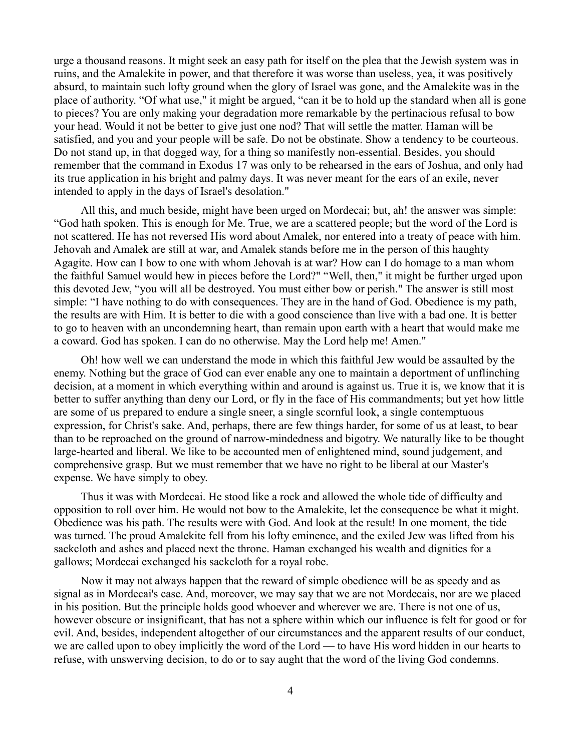urge a thousand reasons. It might seek an easy path for itself on the plea that the Jewish system was in ruins, and the Amalekite in power, and that therefore it was worse than useless, yea, it was positively absurd, to maintain such lofty ground when the glory of Israel was gone, and the Amalekite was in the place of authority. "Of what use," it might be argued, "can it be to hold up the standard when all is gone to pieces? You are only making your degradation more remarkable by the pertinacious refusal to bow your head. Would it not be better to give just one nod? That will settle the matter. Haman will be satisfied, and you and your people will be safe. Do not be obstinate. Show a tendency to be courteous. Do not stand up, in that dogged way, for a thing so manifestly non-essential. Besides, you should remember that the command in Exodus 17 was only to be rehearsed in the ears of Joshua, and only had its true application in his bright and palmy days. It was never meant for the ears of an exile, never intended to apply in the days of Israel's desolation."

All this, and much beside, might have been urged on Mordecai; but, ah! the answer was simple: "God hath spoken. This is enough for Me. True, we are a scattered people; but the word of the Lord is not scattered. He has not reversed His word about Amalek, nor entered into a treaty of peace with him. Jehovah and Amalek are still at war, and Amalek stands before me in the person of this haughty Agagite. How can I bow to one with whom Jehovah is at war? How can I do homage to a man whom the faithful Samuel would hew in pieces before the Lord?" "Well, then," it might be further urged upon this devoted Jew, "you will all be destroyed. You must either bow or perish." The answer is still most simple: "I have nothing to do with consequences. They are in the hand of God. Obedience is my path, the results are with Him. It is better to die with a good conscience than live with a bad one. It is better to go to heaven with an uncondemning heart, than remain upon earth with a heart that would make me a coward. God has spoken. I can do no otherwise. May the Lord help me! Amen."

Oh! how well we can understand the mode in which this faithful Jew would be assaulted by the enemy. Nothing but the grace of God can ever enable any one to maintain a deportment of unflinching decision, at a moment in which everything within and around is against us. True it is, we know that it is better to suffer anything than deny our Lord, or fly in the face of His commandments; but yet how little are some of us prepared to endure a single sneer, a single scornful look, a single contemptuous expression, for Christ's sake. And, perhaps, there are few things harder, for some of us at least, to bear than to be reproached on the ground of narrow-mindedness and bigotry. We naturally like to be thought large-hearted and liberal. We like to be accounted men of enlightened mind, sound judgement, and comprehensive grasp. But we must remember that we have no right to be liberal at our Master's expense. We have simply to obey.

Thus it was with Mordecai. He stood like a rock and allowed the whole tide of difficulty and opposition to roll over him. He would not bow to the Amalekite, let the consequence be what it might. Obedience was his path. The results were with God. And look at the result! In one moment, the tide was turned. The proud Amalekite fell from his lofty eminence, and the exiled Jew was lifted from his sackcloth and ashes and placed next the throne. Haman exchanged his wealth and dignities for a gallows; Mordecai exchanged his sackcloth for a royal robe.

Now it may not always happen that the reward of simple obedience will be as speedy and as signal as in Mordecai's case. And, moreover, we may say that we are not Mordecais, nor are we placed in his position. But the principle holds good whoever and wherever we are. There is not one of us, however obscure or insignificant, that has not a sphere within which our influence is felt for good or for evil. And, besides, independent altogether of our circumstances and the apparent results of our conduct, we are called upon to obey implicitly the word of the Lord — to have His word hidden in our hearts to refuse, with unswerving decision, to do or to say aught that the word of the living God condemns.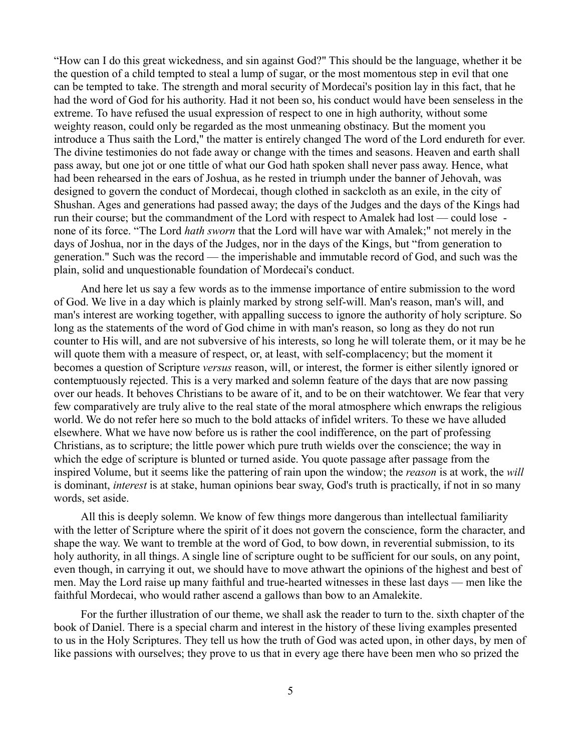"How can I do this great wickedness, and sin against God?" This should be the language, whether it be the question of a child tempted to steal a lump of sugar, or the most momentous step in evil that one can be tempted to take. The strength and moral security of Mordecai's position lay in this fact, that he had the word of God for his authority. Had it not been so, his conduct would have been senseless in the extreme. To have refused the usual expression of respect to one in high authority, without some weighty reason, could only be regarded as the most unmeaning obstinacy. But the moment you introduce a Thus saith the Lord," the matter is entirely changed The word of the Lord endureth for ever. The divine testimonies do not fade away or change with the times and seasons. Heaven and earth shall pass away, but one jot or one tittle of what our God hath spoken shall never pass away. Hence, what had been rehearsed in the ears of Joshua, as he rested in triumph under the banner of Jehovah, was designed to govern the conduct of Mordecai, though clothed in sackcloth as an exile, in the city of Shushan. Ages and generations had passed away; the days of the Judges and the days of the Kings had run their course; but the commandment of the Lord with respect to Amalek had lost — could lose none of its force. "The Lord *hath sworn* that the Lord will have war with Amalek;" not merely in the days of Joshua, nor in the days of the Judges, nor in the days of the Kings, but "from generation to generation." Such was the record — the imperishable and immutable record of God, and such was the plain, solid and unquestionable foundation of Mordecai's conduct.

And here let us say a few words as to the immense importance of entire submission to the word of God. We live in a day which is plainly marked by strong self-will. Man's reason, man's will, and man's interest are working together, with appalling success to ignore the authority of holy scripture. So long as the statements of the word of God chime in with man's reason, so long as they do not run counter to His will, and are not subversive of his interests, so long he will tolerate them, or it may be he will quote them with a measure of respect, or, at least, with self-complacency; but the moment it becomes a question of Scripture *versus* reason, will, or interest, the former is either silently ignored or contemptuously rejected. This is a very marked and solemn feature of the days that are now passing over our heads. It behoves Christians to be aware of it, and to be on their watchtower. We fear that very few comparatively are truly alive to the real state of the moral atmosphere which enwraps the religious world. We do not refer here so much to the bold attacks of infidel writers. To these we have alluded elsewhere. What we have now before us is rather the cool indifference, on the part of professing Christians, as to scripture; the little power which pure truth wields over the conscience; the way in which the edge of scripture is blunted or turned aside. You quote passage after passage from the inspired Volume, but it seems like the pattering of rain upon the window; the *reason* is at work, the *will* is dominant, *interest* is at stake, human opinions bear sway, God's truth is practically, if not in so many words, set aside.

All this is deeply solemn. We know of few things more dangerous than intellectual familiarity with the letter of Scripture where the spirit of it does not govern the conscience, form the character, and shape the way. We want to tremble at the word of God, to bow down, in reverential submission, to its holy authority, in all things. A single line of scripture ought to be sufficient for our souls, on any point, even though, in carrying it out, we should have to move athwart the opinions of the highest and best of men. May the Lord raise up many faithful and true-hearted witnesses in these last days — men like the faithful Mordecai, who would rather ascend a gallows than bow to an Amalekite.

For the further illustration of our theme, we shall ask the reader to turn to the. sixth chapter of the book of Daniel. There is a special charm and interest in the history of these living examples presented to us in the Holy Scriptures. They tell us how the truth of God was acted upon, in other days, by men of like passions with ourselves; they prove to us that in every age there have been men who so prized the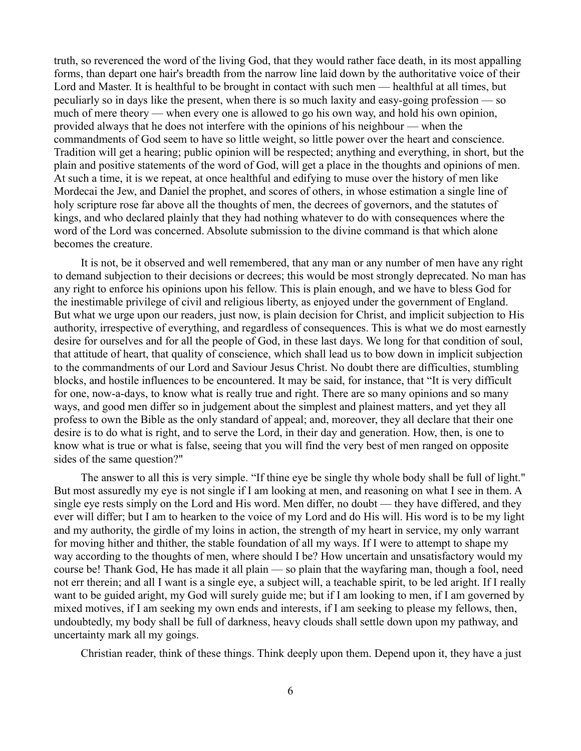truth, so reverenced the word of the living God, that they would rather face death, in its most appalling forms, than depart one hair's breadth from the narrow line laid down by the authoritative voice of their Lord and Master. It is healthful to be brought in contact with such men — healthful at all times, but peculiarly so in days like the present, when there is so much laxity and easy-going profession — so much of mere theory — when every one is allowed to go his own way, and hold his own opinion, provided always that he does not interfere with the opinions of his neighbour — when the commandments of God seem to have so little weight, so little power over the heart and conscience. Tradition will get a hearing; public opinion will be respected; anything and everything, in short, but the plain and positive statements of the word of God, will get a place in the thoughts and opinions of men. At such a time, it is we repeat, at once healthful and edifying to muse over the history of men like Mordecai the Jew, and Daniel the prophet, and scores of others, in whose estimation a single line of holy scripture rose far above all the thoughts of men, the decrees of governors, and the statutes of kings, and who declared plainly that they had nothing whatever to do with consequences where the word of the Lord was concerned. Absolute submission to the divine command is that which alone becomes the creature.

It is not, be it observed and well remembered, that any man or any number of men have any right to demand subjection to their decisions or decrees; this would be most strongly deprecated. No man has any right to enforce his opinions upon his fellow. This is plain enough, and we have to bless God for the inestimable privilege of civil and religious liberty, as enjoyed under the government of England. But what we urge upon our readers, just now, is plain decision for Christ, and implicit subjection to His authority, irrespective of everything, and regardless of consequences. This is what we do most earnestly desire for ourselves and for all the people of God, in these last days. We long for that condition of soul, that attitude of heart, that quality of conscience, which shall lead us to bow down in implicit subjection to the commandments of our Lord and Saviour Jesus Christ. No doubt there are difficulties, stumbling blocks, and hostile influences to be encountered. It may be said, for instance, that "It is very difficult for one, now-a-days, to know what is really true and right. There are so many opinions and so many ways, and good men differ so in judgement about the simplest and plainest matters, and yet they all profess to own the Bible as the only standard of appeal; and, moreover, they all declare that their one desire is to do what is right, and to serve the Lord, in their day and generation. How, then, is one to know what is true or what is false, seeing that you will find the very best of men ranged on opposite sides of the same question?"

The answer to all this is very simple. "If thine eye be single thy whole body shall be full of light." But most assuredly my eye is not single if I am looking at men, and reasoning on what I see in them. A single eye rests simply on the Lord and His word. Men differ, no doubt — they have differed, and they ever will differ; but I am to hearken to the voice of my Lord and do His will. His word is to be my light and my authority, the girdle of my loins in action, the strength of my heart in service, my only warrant for moving hither and thither, the stable foundation of all my ways. If I were to attempt to shape my way according to the thoughts of men, where should I be? How uncertain and unsatisfactory would my course be! Thank God, He has made it all plain — so plain that the wayfaring man, though a fool, need not err therein; and all I want is a single eye, a subject will, a teachable spirit, to be led aright. If I really want to be guided aright, my God will surely guide me; but if I am looking to men, if I am governed by mixed motives, if I am seeking my own ends and interests, if I am seeking to please my fellows, then, undoubtedly, my body shall be full of darkness, heavy clouds shall settle down upon my pathway, and uncertainty mark all my goings.

Christian reader, think of these things. Think deeply upon them. Depend upon it, they have a just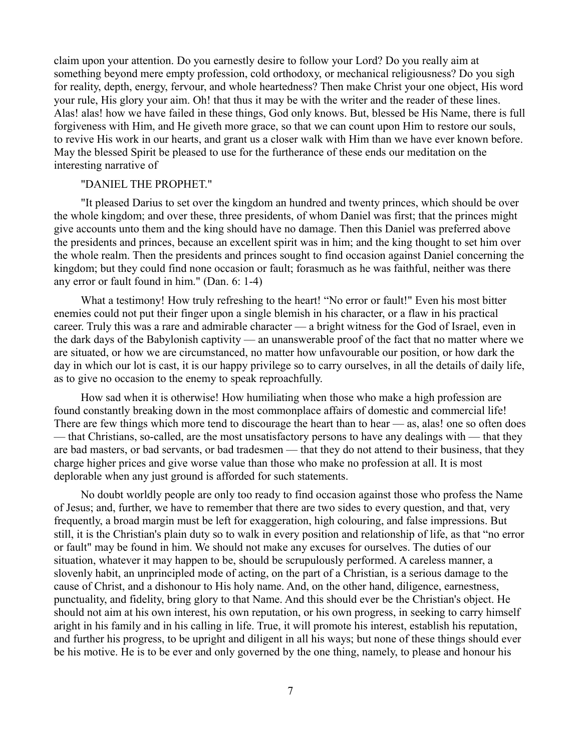claim upon your attention. Do you earnestly desire to follow your Lord? Do you really aim at something beyond mere empty profession, cold orthodoxy, or mechanical religiousness? Do you sigh for reality, depth, energy, fervour, and whole heartedness? Then make Christ your one object, His word your rule, His glory your aim. Oh! that thus it may be with the writer and the reader of these lines. Alas! alas! how we have failed in these things, God only knows. But, blessed be His Name, there is full forgiveness with Him, and He giveth more grace, so that we can count upon Him to restore our souls, to revive His work in our hearts, and grant us a closer walk with Him than we have ever known before. May the blessed Spirit be pleased to use for the furtherance of these ends our meditation on the interesting narrative of

### "DANIEL THE PROPHET."

"It pleased Darius to set over the kingdom an hundred and twenty princes, which should be over the whole kingdom; and over these, three presidents, of whom Daniel was first; that the princes might give accounts unto them and the king should have no damage. Then this Daniel was preferred above the presidents and princes, because an excellent spirit was in him; and the king thought to set him over the whole realm. Then the presidents and princes sought to find occasion against Daniel concerning the kingdom; but they could find none occasion or fault; forasmuch as he was faithful, neither was there any error or fault found in him." (Dan. 6: 1-4)

What a testimony! How truly refreshing to the heart! "No error or fault!" Even his most bitter enemies could not put their finger upon a single blemish in his character, or a flaw in his practical career. Truly this was a rare and admirable character — a bright witness for the God of Israel, even in the dark days of the Babylonish captivity — an unanswerable proof of the fact that no matter where we are situated, or how we are circumstanced, no matter how unfavourable our position, or how dark the day in which our lot is cast, it is our happy privilege so to carry ourselves, in all the details of daily life, as to give no occasion to the enemy to speak reproachfully.

How sad when it is otherwise! How humiliating when those who make a high profession are found constantly breaking down in the most commonplace affairs of domestic and commercial life! There are few things which more tend to discourage the heart than to hear — as, alas! one so often does — that Christians, so-called, are the most unsatisfactory persons to have any dealings with — that they are bad masters, or bad servants, or bad tradesmen — that they do not attend to their business, that they charge higher prices and give worse value than those who make no profession at all. It is most deplorable when any just ground is afforded for such statements.

No doubt worldly people are only too ready to find occasion against those who profess the Name of Jesus; and, further, we have to remember that there are two sides to every question, and that, very frequently, a broad margin must be left for exaggeration, high colouring, and false impressions. But still, it is the Christian's plain duty so to walk in every position and relationship of life, as that "no error or fault" may be found in him. We should not make any excuses for ourselves. The duties of our situation, whatever it may happen to be, should be scrupulously performed. A careless manner, a slovenly habit, an unprincipled mode of acting, on the part of a Christian, is a serious damage to the cause of Christ, and a dishonour to His holy name. And, on the other hand, diligence, earnestness, punctuality, and fidelity, bring glory to that Name. And this should ever be the Christian's object. He should not aim at his own interest, his own reputation, or his own progress, in seeking to carry himself aright in his family and in his calling in life. True, it will promote his interest, establish his reputation, and further his progress, to be upright and diligent in all his ways; but none of these things should ever be his motive. He is to be ever and only governed by the one thing, namely, to please and honour his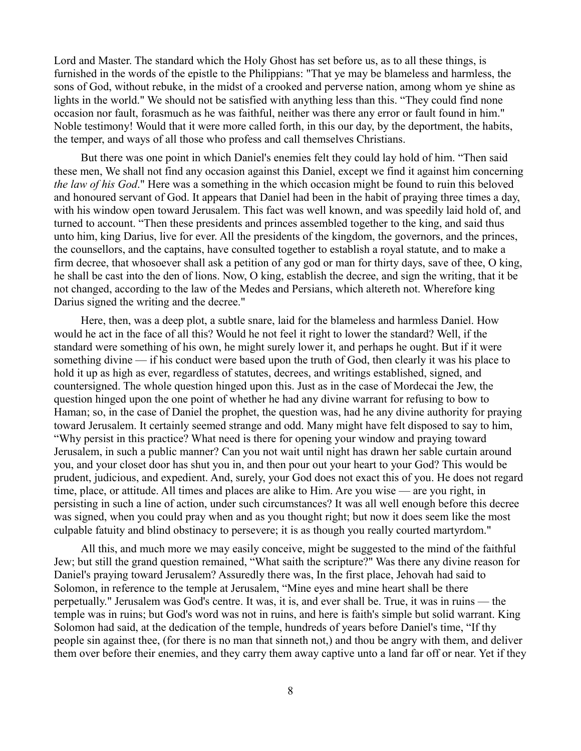Lord and Master. The standard which the Holy Ghost has set before us, as to all these things, is furnished in the words of the epistle to the Philippians: "That ye may be blameless and harmless, the sons of God, without rebuke, in the midst of a crooked and perverse nation, among whom ye shine as lights in the world." We should not be satisfied with anything less than this. "They could find none occasion nor fault, forasmuch as he was faithful, neither was there any error or fault found in him." Noble testimony! Would that it were more called forth, in this our day, by the deportment, the habits, the temper, and ways of all those who profess and call themselves Christians.

But there was one point in which Daniel's enemies felt they could lay hold of him. "Then said these men, We shall not find any occasion against this Daniel, except we find it against him concerning *the law of his God*." Here was a something in the which occasion might be found to ruin this beloved and honoured servant of God. It appears that Daniel had been in the habit of praying three times a day, with his window open toward Jerusalem. This fact was well known, and was speedily laid hold of, and turned to account. "Then these presidents and princes assembled together to the king, and said thus unto him, king Darius, live for ever. All the presidents of the kingdom, the governors, and the princes, the counsellors, and the captains, have consulted together to establish a royal statute, and to make a firm decree, that whosoever shall ask a petition of any god or man for thirty days, save of thee, O king, he shall be cast into the den of lions. Now, O king, establish the decree, and sign the writing, that it be not changed, according to the law of the Medes and Persians, which altereth not. Wherefore king Darius signed the writing and the decree."

Here, then, was a deep plot, a subtle snare, laid for the blameless and harmless Daniel. How would he act in the face of all this? Would he not feel it right to lower the standard? Well, if the standard were something of his own, he might surely lower it, and perhaps he ought. But if it were something divine — if his conduct were based upon the truth of God, then clearly it was his place to hold it up as high as ever, regardless of statutes, decrees, and writings established, signed, and countersigned. The whole question hinged upon this. Just as in the case of Mordecai the Jew, the question hinged upon the one point of whether he had any divine warrant for refusing to bow to Haman; so, in the case of Daniel the prophet, the question was, had he any divine authority for praying toward Jerusalem. It certainly seemed strange and odd. Many might have felt disposed to say to him, "Why persist in this practice? What need is there for opening your window and praying toward Jerusalem, in such a public manner? Can you not wait until night has drawn her sable curtain around you, and your closet door has shut you in, and then pour out your heart to your God? This would be prudent, judicious, and expedient. And, surely, your God does not exact this of you. He does not regard time, place, or attitude. All times and places are alike to Him. Are you wise — are you right, in persisting in such a line of action, under such circumstances? It was all well enough before this decree was signed, when you could pray when and as you thought right; but now it does seem like the most culpable fatuity and blind obstinacy to persevere; it is as though you really courted martyrdom."

All this, and much more we may easily conceive, might be suggested to the mind of the faithful Jew; but still the grand question remained, "What saith the scripture?" Was there any divine reason for Daniel's praying toward Jerusalem? Assuredly there was, In the first place, Jehovah had said to Solomon, in reference to the temple at Jerusalem, "Mine eyes and mine heart shall be there perpetually." Jerusalem was God's centre. It was, it is, and ever shall be. True, it was in ruins — the temple was in ruins; but God's word was not in ruins, and here is faith's simple but solid warrant. King Solomon had said, at the dedication of the temple, hundreds of years before Daniel's time, "If thy people sin against thee, (for there is no man that sinneth not,) and thou be angry with them, and deliver them over before their enemies, and they carry them away captive unto a land far off or near. Yet if they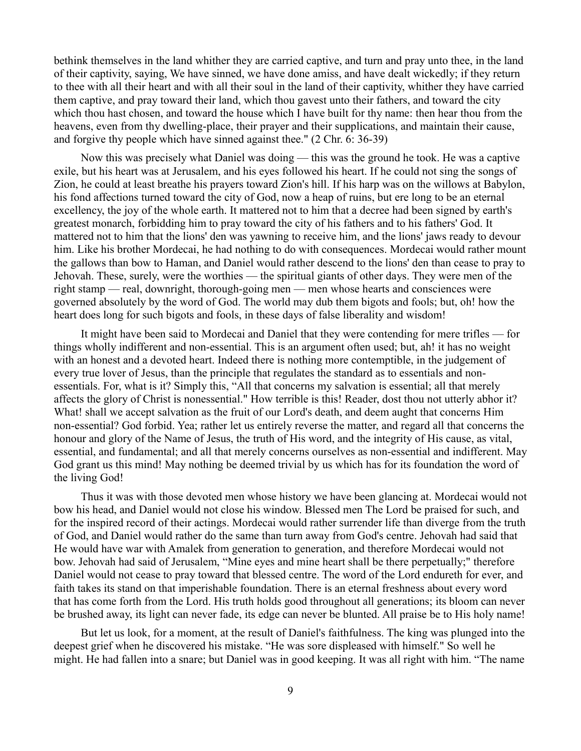bethink themselves in the land whither they are carried captive, and turn and pray unto thee, in the land of their captivity, saying, We have sinned, we have done amiss, and have dealt wickedly; if they return to thee with all their heart and with all their soul in the land of their captivity, whither they have carried them captive, and pray toward their land, which thou gavest unto their fathers, and toward the city which thou hast chosen, and toward the house which I have built for thy name: then hear thou from the heavens, even from thy dwelling-place, their prayer and their supplications, and maintain their cause, and forgive thy people which have sinned against thee." (2 Chr. 6: 36-39)

Now this was precisely what Daniel was doing — this was the ground he took. He was a captive exile, but his heart was at Jerusalem, and his eyes followed his heart. If he could not sing the songs of Zion, he could at least breathe his prayers toward Zion's hill. If his harp was on the willows at Babylon, his fond affections turned toward the city of God, now a heap of ruins, but ere long to be an eternal excellency, the joy of the whole earth. It mattered not to him that a decree had been signed by earth's greatest monarch, forbidding him to pray toward the city of his fathers and to his fathers' God. It mattered not to him that the lions' den was yawning to receive him, and the lions' jaws ready to devour him. Like his brother Mordecai, he had nothing to do with consequences. Mordecai would rather mount the gallows than bow to Haman, and Daniel would rather descend to the lions' den than cease to pray to Jehovah. These, surely, were the worthies — the spiritual giants of other days. They were men of the right stamp — real, downright, thorough-going men — men whose hearts and consciences were governed absolutely by the word of God. The world may dub them bigots and fools; but, oh! how the heart does long for such bigots and fools, in these days of false liberality and wisdom!

It might have been said to Mordecai and Daniel that they were contending for mere trifles — for things wholly indifferent and non-essential. This is an argument often used; but, ah! it has no weight with an honest and a devoted heart. Indeed there is nothing more contemptible, in the judgement of every true lover of Jesus, than the principle that regulates the standard as to essentials and nonessentials. For, what is it? Simply this, "All that concerns my salvation is essential; all that merely affects the glory of Christ is nonessential." How terrible is this! Reader, dost thou not utterly abhor it? What! shall we accept salvation as the fruit of our Lord's death, and deem aught that concerns Him non-essential? God forbid. Yea; rather let us entirely reverse the matter, and regard all that concerns the honour and glory of the Name of Jesus, the truth of His word, and the integrity of His cause, as vital, essential, and fundamental; and all that merely concerns ourselves as non-essential and indifferent. May God grant us this mind! May nothing be deemed trivial by us which has for its foundation the word of the living God!

Thus it was with those devoted men whose history we have been glancing at. Mordecai would not bow his head, and Daniel would not close his window. Blessed men The Lord be praised for such, and for the inspired record of their actings. Mordecai would rather surrender life than diverge from the truth of God, and Daniel would rather do the same than turn away from God's centre. Jehovah had said that He would have war with Amalek from generation to generation, and therefore Mordecai would not bow. Jehovah had said of Jerusalem, "Mine eyes and mine heart shall be there perpetually;" therefore Daniel would not cease to pray toward that blessed centre. The word of the Lord endureth for ever, and faith takes its stand on that imperishable foundation. There is an eternal freshness about every word that has come forth from the Lord. His truth holds good throughout all generations; its bloom can never be brushed away, its light can never fade, its edge can never be blunted. All praise be to His holy name!

But let us look, for a moment, at the result of Daniel's faithfulness. The king was plunged into the deepest grief when he discovered his mistake. "He was sore displeased with himself." So well he might. He had fallen into a snare; but Daniel was in good keeping. It was all right with him. "The name